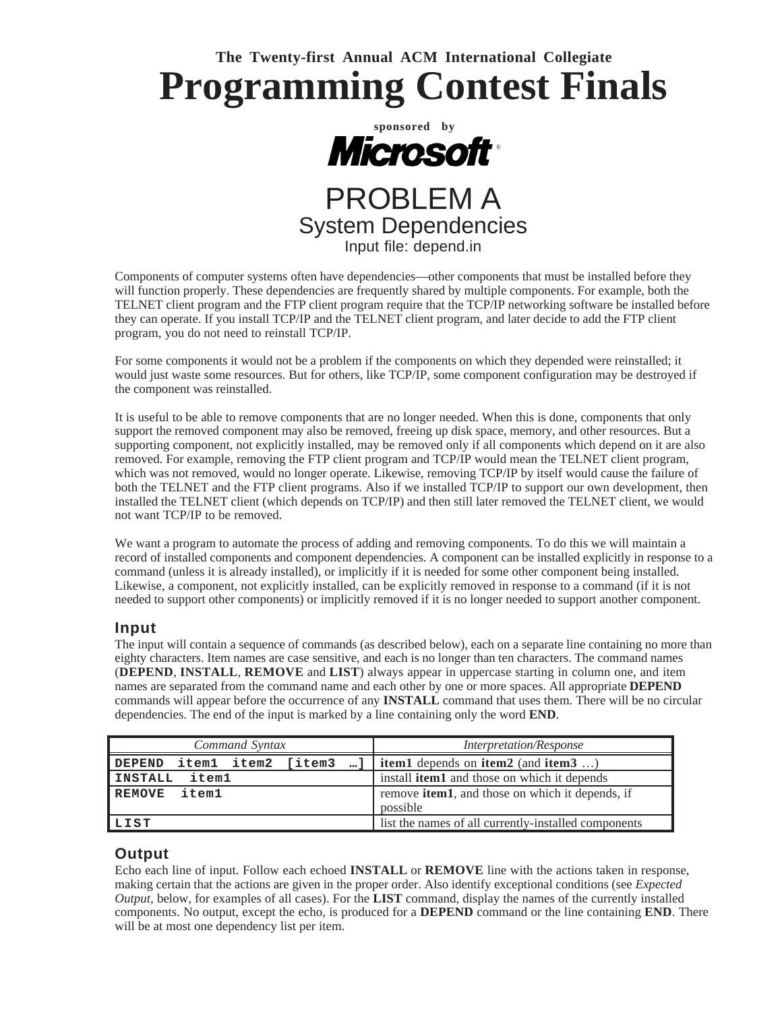

PROBLEM A System Dependencies Input file: depend.in

Components of computer systems often have dependencies—other components that must be installed before they will function properly. These dependencies are frequently shared by multiple components. For example, both the TELNET client program and the FTP client program require that the TCP/IP networking software be installed before they can operate. If you install TCP/IP and the TELNET client program, and later decide to add the FTP client program, you do not need to reinstall TCP/IP.

For some components it would not be a problem if the components on which they depended were reinstalled; it would just waste some resources. But for others, like TCP/IP, some component configuration may be destroyed if the component was reinstalled.

It is useful to be able to remove components that are no longer needed. When this is done, components that only support the removed component may also be removed, freeing up disk space, memory, and other resources. But a supporting component, not explicitly installed, may be removed only if all components which depend on it are also removed. For example, removing the FTP client program and TCP/IP would mean the TELNET client program, which was not removed, would no longer operate. Likewise, removing TCP/IP by itself would cause the failure of both the TELNET and the FTP client programs. Also if we installed TCP/IP to support our own development, then installed the TELNET client (which depends on TCP/IP) and then still later removed the TELNET client, we would not want TCP/IP to be removed.

We want a program to automate the process of adding and removing components. To do this we will maintain a record of installed components and component dependencies. A component can be installed explicitly in response to a command (unless it is already installed), or implicitly if it is needed for some other component being installed. Likewise, a component, not explicitly installed, can be explicitly removed in response to a command (if it is not needed to support other components) or implicitly removed if it is no longer needed to support another component.

# **Input**

The input will contain a sequence of commands (as described below), each on a separate line containing no more than eighty characters. Item names are case sensitive, and each is no longer than ten characters. The command names (**DEPEND**, **INSTALL**, **REMOVE** and **LIST**) always appear in uppercase starting in column one, and item names are separated from the command name and each other by one or more spaces. All appropriate **DEPEND** commands will appear before the occurrence of any **INSTALL** command that uses them. There will be no circular dependencies. The end of the input is marked by a line containing only the word **END**.

| Command Syntax            | Interpretation/Response                                             |
|---------------------------|---------------------------------------------------------------------|
| DEPEND item1 item2 [item3 | ] item1 depends on item2 (and item3 )                               |
| <b>INSTALL</b><br>item1   | install <b>item1</b> and those on which it depends                  |
| REMOVE<br>item1           | remove <b>item1</b> , and those on which it depends, if<br>possible |
| LIST                      | list the names of all currently-installed components                |

# **Output**

Echo each line of input. Follow each echoed **INSTALL** or **REMOVE** line with the actions taken in response, making certain that the actions are given in the proper order. Also identify exceptional conditions (see *Expected Output,* below, for examples of all cases). For the **LIST** command, display the names of the currently installed components. No output, except the echo, is produced for a **DEPEND** command or the line containing **END**. There will be at most one dependency list per item.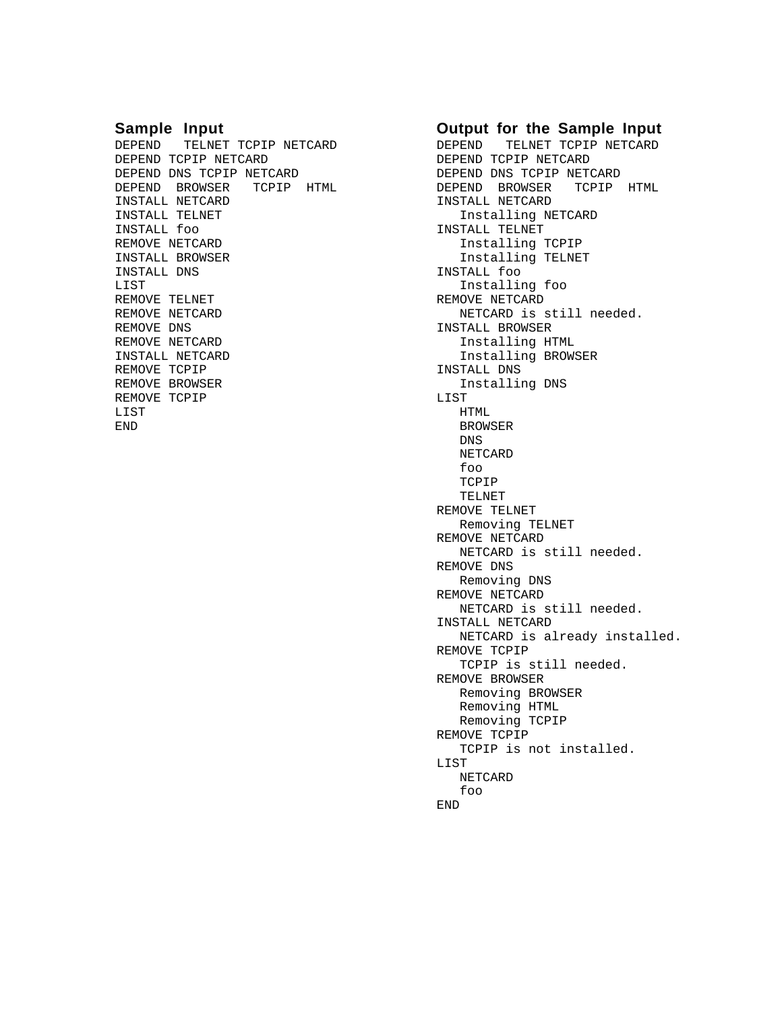#### **Sample Input**

DEPEND TELNET TCPIP NETCARD DEPEND TCPIP NETCARD DEPEND DNS TCPIP NETCARD DEPEND BROWSER TCPIP HTML INSTALL NETCARD INSTALL TELNET INSTALL foo REMOVE NETCARD INSTALL BROWSER INSTALL DNS LIST REMOVE TELNET REMOVE NETCARD REMOVE DNS REMOVE NETCARD INSTALL NETCARD REMOVE TCPIP REMOVE BROWSER REMOVE TCPIP LIST END

# **Output for the Sample Input**

DEPEND TELNET TCPIP NETCARD DEPEND TCPIP NETCARD DEPEND DNS TCPIP NETCARD DEPEND BROWSER TCPIP HTML INSTALL NETCARD Installing NETCARD INSTALL TELNET Installing TCPIP Installing TELNET INSTALL foo Installing foo REMOVE NETCARD NETCARD is still needed. INSTALL BROWSER Installing HTML Installing BROWSER INSTALL DNS Installing DNS LIST HTML BROWSER DNS NETCARD foo TCPIP TELNET REMOVE TELNET Removing TELNET REMOVE NETCARD NETCARD is still needed. REMOVE DNS Removing DNS REMOVE NETCARD NETCARD is still needed. INSTALL NETCARD NETCARD is already installed. REMOVE TCPIP TCPIP is still needed. REMOVE BROWSER Removing BROWSER Removing HTML Removing TCPIP REMOVE TCPIP TCPIP is not installed. LIST NETCARD foo END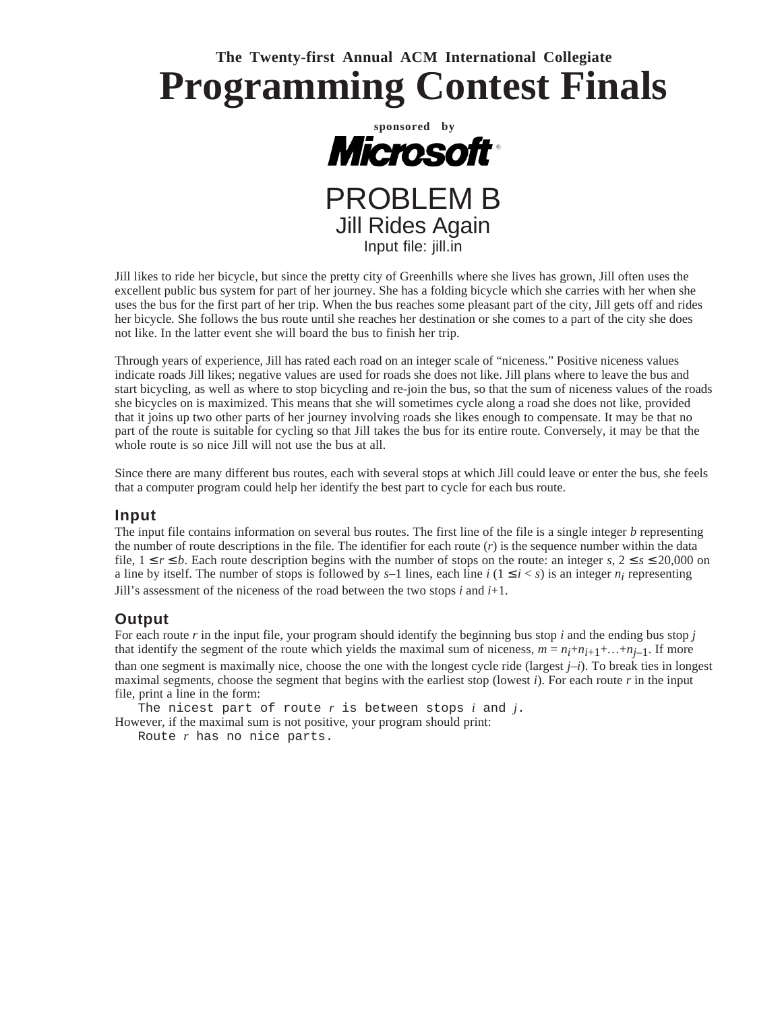

Jill Rides Again Input file: jill.in

Jill likes to ride her bicycle, but since the pretty city of Greenhills where she lives has grown, Jill often uses the excellent public bus system for part of her journey. She has a folding bicycle which she carries with her when she uses the bus for the first part of her trip. When the bus reaches some pleasant part of the city, Jill gets off and rides her bicycle. She follows the bus route until she reaches her destination or she comes to a part of the city she does

not like. In the latter event she will board the bus to finish her trip.

Through years of experience, Jill has rated each road on an integer scale of "niceness." Positive niceness values indicate roads Jill likes; negative values are used for roads she does not like. Jill plans where to leave the bus and start bicycling, as well as where to stop bicycling and re-join the bus, so that the sum of niceness values of the roads she bicycles on is maximized. This means that she will sometimes cycle along a road she does not like, provided that it joins up two other parts of her journey involving roads she likes enough to compensate. It may be that no part of the route is suitable for cycling so that Jill takes the bus for its entire route. Conversely, it may be that the whole route is so nice Jill will not use the bus at all.

Since there are many different bus routes, each with several stops at which Jill could leave or enter the bus, she feels that a computer program could help her identify the best part to cycle for each bus route.

# **Input**

The input file contains information on several bus routes. The first line of the file is a single integer *b* representing the number of route descriptions in the file. The identifier for each route  $(r)$  is the sequence number within the data file,  $1 \le r \le b$ . Each route description begins with the number of stops on the route: an integer *s*,  $2 \le s \le 20,000$  on a line by itself. The number of stops is followed by  $s-1$  lines, each line  $i$  ( $1 \le i < s$ ) is an integer  $n_i$  representing Jill's assessment of the niceness of the road between the two stops *i* and *i*+1.

# **Output**

For each route  $r$  in the input file, your program should identify the beginning bus stop  $i$  and the ending bus stop  $j$ that identify the segment of the route which yields the maximal sum of niceness,  $m = n_i + n_{i+1} + ... + n_{i-1}$ . If more than one segment is maximally nice, choose the one with the longest cycle ride (largest *j*–*i*). To break ties in longest maximal segments, choose the segment that begins with the earliest stop (lowest *i*). For each route *r* in the input file, print a line in the form:

The nicest part of route *r* is between stops *i* and *j*. However, if the maximal sum is not positive, your program should print:

Route *r* has no nice parts.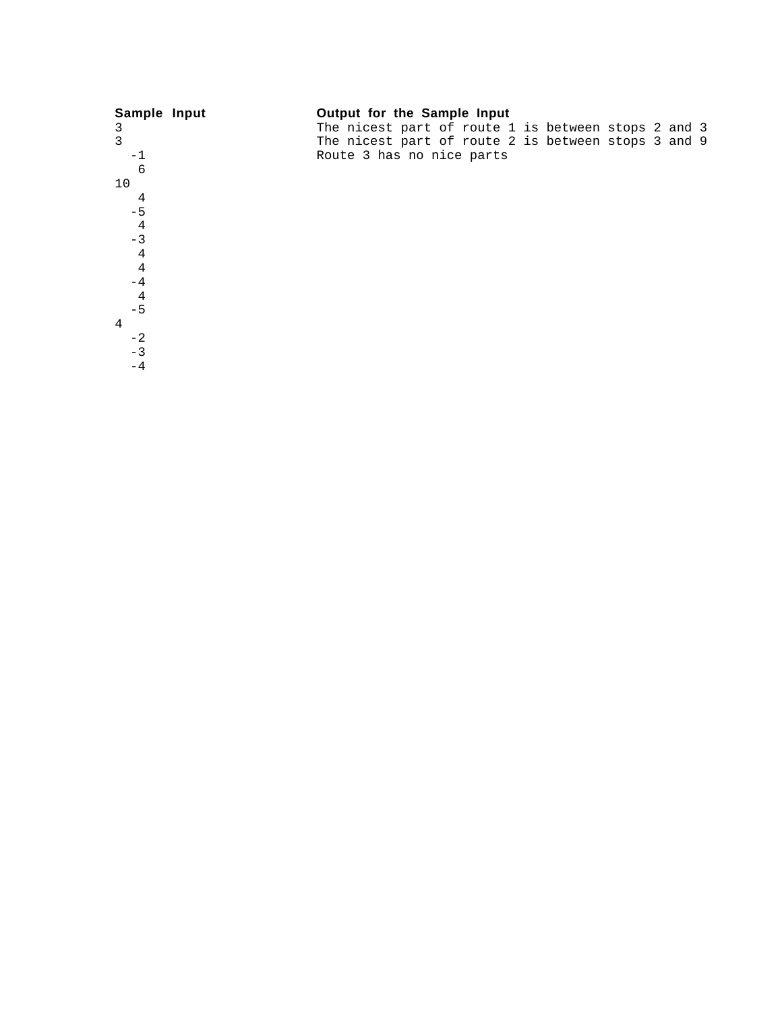| Sample Input                 | Output for the Sample Input                         |
|------------------------------|-----------------------------------------------------|
| 3                            | The nicest part of route 1 is between stops 2 and 3 |
| 3                            | The nicest part of route 2 is between stops 3 and 9 |
| -1                           | Route 3 has no nice parts                           |
| 6                            |                                                     |
| 10                           |                                                     |
| 4                            |                                                     |
|                              |                                                     |
| $-5$<br>4<br>-3              |                                                     |
|                              |                                                     |
| $\frac{4}{4}$<br>$-4$<br>$4$ |                                                     |
|                              |                                                     |
|                              |                                                     |
|                              |                                                     |
| $-5$                         |                                                     |
| 4                            |                                                     |
| $-2$                         |                                                     |
| $-3$                         |                                                     |
| $-4$                         |                                                     |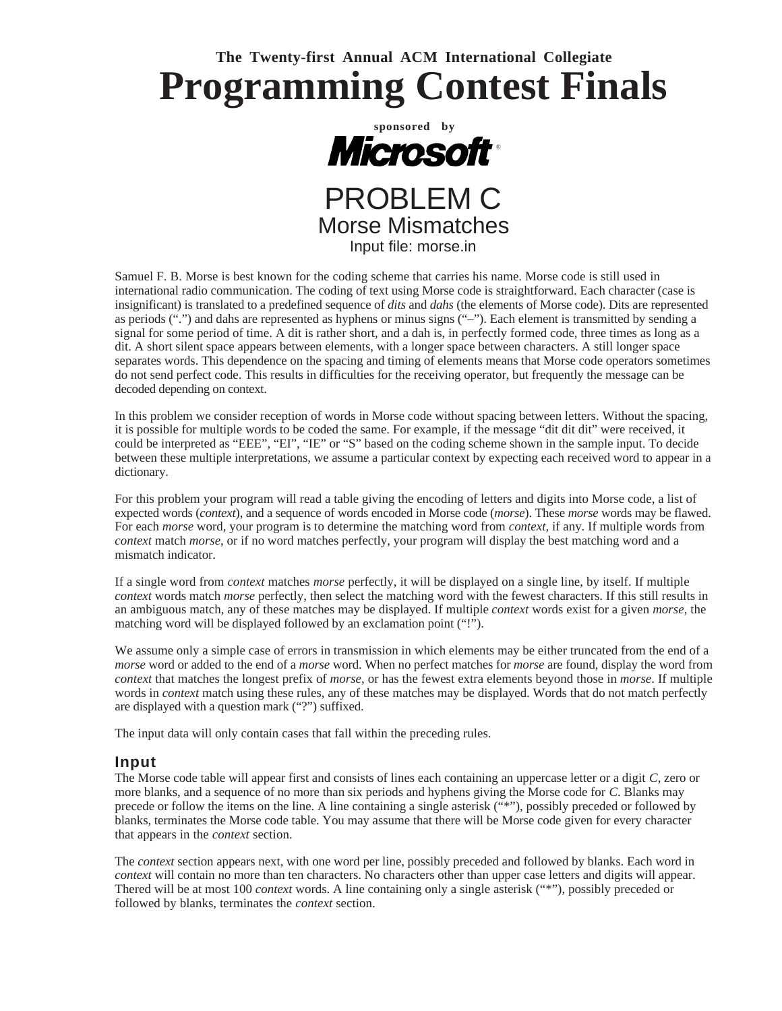

Input file: morse.in

Samuel F. B. Morse is best known for the coding scheme that carries his name. Morse code is still used in international radio communication. The coding of text using Morse code is straightforward. Each character (case is insignificant) is translated to a predefined sequence of *dits* and *dahs* (the elements of Morse code). Dits are represented as periods (".") and dahs are represented as hyphens or minus signs ("–"). Each element is transmitted by sending a signal for some period of time. A dit is rather short, and a dah is, in perfectly formed code, three times as long as a dit. A short silent space appears between elements, with a longer space between characters. A still longer space separates words. This dependence on the spacing and timing of elements means that Morse code operators sometimes do not send perfect code. This results in difficulties for the receiving operator, but frequently the message can be decoded depending on context.

In this problem we consider reception of words in Morse code without spacing between letters. Without the spacing, it is possible for multiple words to be coded the same. For example, if the message "dit dit dit" were received, it could be interpreted as "EEE", "EI", "IE" or "S" based on the coding scheme shown in the sample input. To decide between these multiple interpretations, we assume a particular context by expecting each received word to appear in a dictionary.

For this problem your program will read a table giving the encoding of letters and digits into Morse code, a list of expected words (*context*), and a sequence of words encoded in Morse code (*morse*). These *morse* words may be flawed. For each *morse* word, your program is to determine the matching word from *context*, if any. If multiple words from *context* match *morse*, or if no word matches perfectly, your program will display the best matching word and a mismatch indicator.

If a single word from *context* matches *morse* perfectly, it will be displayed on a single line, by itself. If multiple *context* words match *morse* perfectly, then select the matching word with the fewest characters. If this still results in an ambiguous match, any of these matches may be displayed. If multiple *context* words exist for a given *morse*, the matching word will be displayed followed by an exclamation point ("!").

We assume only a simple case of errors in transmission in which elements may be either truncated from the end of a *morse* word or added to the end of a *morse* word. When no perfect matches for *morse* are found, display the word from *context* that matches the longest prefix of *morse*, or has the fewest extra elements beyond those in *morse*. If multiple words in *context* match using these rules, any of these matches may be displayed. Words that do not match perfectly are displayed with a question mark ("?") suffixed.

The input data will only contain cases that fall within the preceding rules.

#### **Input**

The Morse code table will appear first and consists of lines each containing an uppercase letter or a digit *C*, zero or more blanks, and a sequence of no more than six periods and hyphens giving the Morse code for *C*. Blanks may precede or follow the items on the line. A line containing a single asterisk ("\*"), possibly preceded or followed by blanks, terminates the Morse code table. You may assume that there will be Morse code given for every character that appears in the *context* section.

The *context* section appears next, with one word per line, possibly preceded and followed by blanks. Each word in *context* will contain no more than ten characters. No characters other than upper case letters and digits will appear. Thered will be at most 100 *context* words. A line containing only a single asterisk ("\*"), possibly preceded or followed by blanks, terminates the *context* section.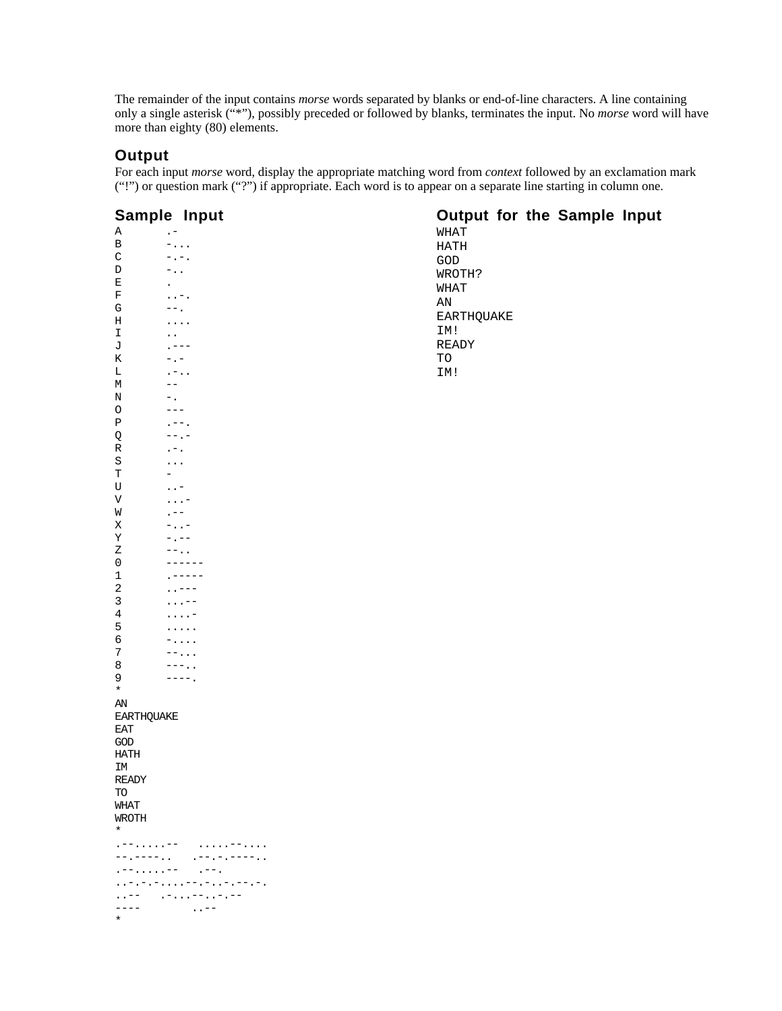The remainder of the input contains *morse* words separated by blanks or end-of-line characters. A line containing only a single asterisk ("\*"), possibly preceded or followed by blanks, terminates the input. No *morse* word will have more than eighty (80) elements.

# **Output**

For each input *morse* word, display the appropriate matching word from *context* followed by an exclamation mark ("!") or question mark ("?") if appropriate. Each word is to appear on a separate line starting in column one.

|                                                               | Sample Input                           | Output for the Sample Input |
|---------------------------------------------------------------|----------------------------------------|-----------------------------|
| Α                                                             | $\ddot{\phantom{1}}$ .                 | WHAT                        |
| В                                                             | $-$                                    | <b>HATH</b>                 |
| C                                                             | $- - -$ .                              | GOD                         |
| D                                                             | $-$                                    | WROTH?                      |
| E                                                             | $\bullet$                              |                             |
| $\mathbb F$                                                   | $\ldots -$ .                           | WHAT                        |
| G                                                             | $---$ .                                | ΑN                          |
| Н                                                             | $\cdots$                               | EARTHQUAKE                  |
| I                                                             | $\ddotsc$                              | IM!                         |
| J                                                             | $\cdot$ ---                            | READY                       |
| K                                                             | $- - -$                                | TO                          |
| L                                                             | $\cdot$ – $\cdot$ .                    | IM!                         |
| Μ                                                             | $- \, -$                               |                             |
| Ν                                                             | $-$ .                                  |                             |
| O                                                             | $---$                                  |                             |
| Ρ                                                             | $. --.$                                |                             |
| Q                                                             | $--- - -$                              |                             |
| R                                                             | $\cdot$ - $\cdot$                      |                             |
| $\rm S$                                                       | $\ddotsc$                              |                             |
| T                                                             | $\overline{\phantom{m}}$               |                             |
| U                                                             | $\cdot \cdot$ –                        |                             |
| V                                                             | $\cdots$ $-$                           |                             |
| M                                                             | $. --$                                 |                             |
| Χ                                                             | $-$ –                                  |                             |
| Υ                                                             | $- - - -$                              |                             |
| Ζ                                                             | $--.$ .                                |                             |
| 0                                                             | $------$                               |                             |
| $\mathbf 1$                                                   | $\cdot$ -----                          |                             |
| $\overline{a}$                                                | $\cdot \cdot$ ---                      |                             |
| $\mathsf{3}$                                                  | $\ldots$ - $-$                         |                             |
| $\overline{4}$                                                | $\cdots$ .                             |                             |
| 5                                                             | $\cdots\cdots\cdots$                   |                             |
| $\epsilon$                                                    | $- \ldots$ .                           |                             |
| $\overline{7}$                                                | $--\ldots$                             |                             |
| 8                                                             | $---.$                                 |                             |
| 9                                                             | $---.$                                 |                             |
| $\star$                                                       |                                        |                             |
| AN                                                            |                                        |                             |
| EARTHQUAKE                                                    |                                        |                             |
| EAT                                                           |                                        |                             |
| GOD                                                           |                                        |                             |
| HATH                                                          |                                        |                             |
| IM                                                            |                                        |                             |
| <b>READY</b>                                                  |                                        |                             |
| TO                                                            |                                        |                             |
| WHAT                                                          |                                        |                             |
| WROTH                                                         |                                        |                             |
| $\star$                                                       |                                        |                             |
| $\cdot$ == $\cdot$ $\cdot$ $\cdot$ $\cdot$ $\cdot$ == $\cdot$ | $\cdots$ $\tau$ $\tau$                 |                             |
| $--. ---$                                                     | $\ldots$ - $\ldots$ . - - - - $\ldots$ |                             |
| $\cdot$ == $\cdot$ $\cdot$ $\cdot$ $\cdot$ $\cdot$ ==         | $\cdot$ $ \cdot$                       |                             |
|                                                               | <b>コンティティティングリアナリティック・サイナンティ</b>       |                             |
| $\cdots$ – –                                                  | $\overline{z}$                         |                             |
|                                                               | $\ddots$ - $-$                         |                             |
| $^\star$                                                      |                                        |                             |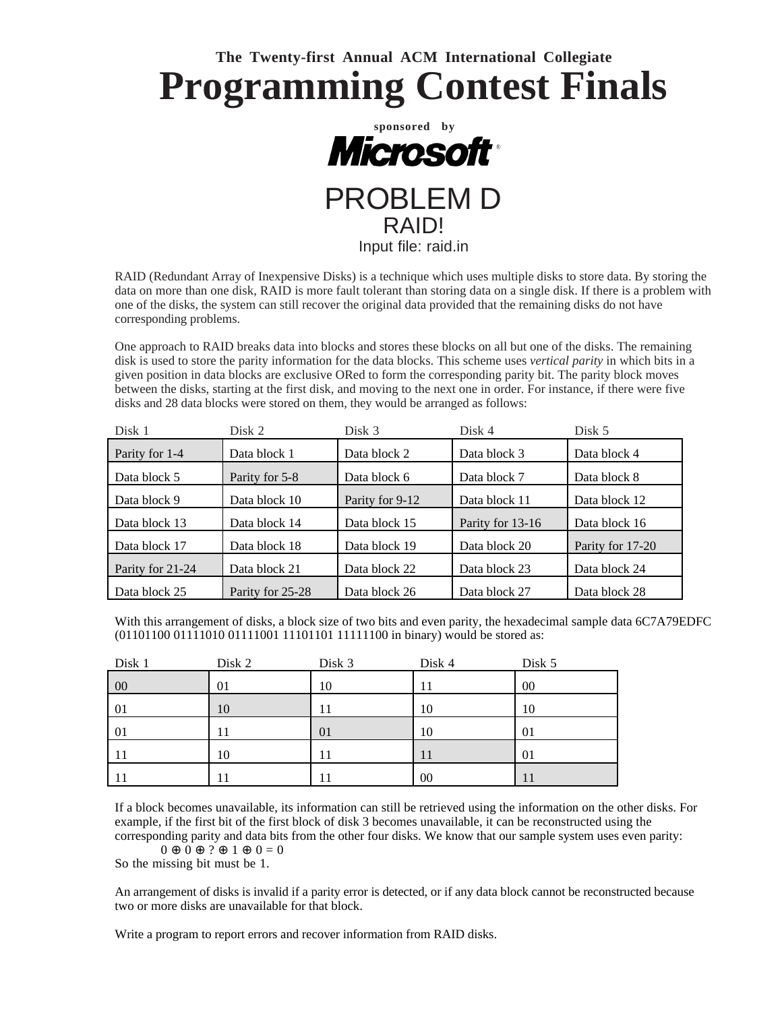

RAID (Redundant Array of Inexpensive Disks) is a technique which uses multiple disks to store data. By storing the data on more than one disk, RAID is more fault tolerant than storing data on a single disk. If there is a problem with one of the disks, the system can still recover the original data provided that the remaining disks do not have corresponding problems.

One approach to RAID breaks data into blocks and stores these blocks on all but one of the disks. The remaining disk is used to store the parity information for the data blocks. This scheme uses *vertical parity* in which bits in a given position in data blocks are exclusive ORed to form the corresponding parity bit. The parity block moves between the disks, starting at the first disk, and moving to the next one in order. For instance, if there were five disks and 28 data blocks were stored on them, they would be arranged as follows:

| Disk 1           | Disk 2           | Disk 3          | Disk 4           | Disk 5           |
|------------------|------------------|-----------------|------------------|------------------|
| Parity for 1-4   | Data block 1     | Data block 2    | Data block 3     | Data block 4     |
| Data block 5     | Parity for 5-8   | Data block 6    | Data block 7     | Data block 8     |
| Data block 9     | Data block 10    | Parity for 9-12 | Data block 11    | Data block 12    |
| Data block 13    | Data block 14    | Data block 15   | Parity for 13-16 | Data block 16    |
| Data block 17    | Data block 18    | Data block 19   | Data block 20    | Parity for 17-20 |
| Parity for 21-24 | Data block 21    | Data block 22   | Data block 23    | Data block 24    |
| Data block 25    | Parity for 25-28 | Data block 26   | Data block 27    | Data block 28    |

With this arrangement of disks, a block size of two bits and even parity, the hexadecimal sample data 6C7A79EDFC (01101100 01111010 01111001 11101101 11111100 in binary) would be stored as:

| Disk 1 | Disk 2 | Disk 3 | Disk 4 | Disk 5 |
|--------|--------|--------|--------|--------|
| 00     | 01     | 10     | 11     | 00     |
| 01     | 10     | 11     | 10     | 10     |
| - 01   | 11     | 01     | 10     | 01     |
| 11     | 10     |        | 11     | 01     |
|        | 11     |        | 00     | 11     |

If a block becomes unavailable, its information can still be retrieved using the information on the other disks. For example, if the first bit of the first block of disk 3 becomes unavailable, it can be reconstructed using the corresponding parity and data bits from the other four disks. We know that our sample system uses even parity:

 $0 \oplus 0 \oplus ? \oplus 1 \oplus 0 = 0$ 

So the missing bit must be 1.

An arrangement of disks is invalid if a parity error is detected, or if any data block cannot be reconstructed because two or more disks are unavailable for that block.

Write a program to report errors and recover information from RAID disks.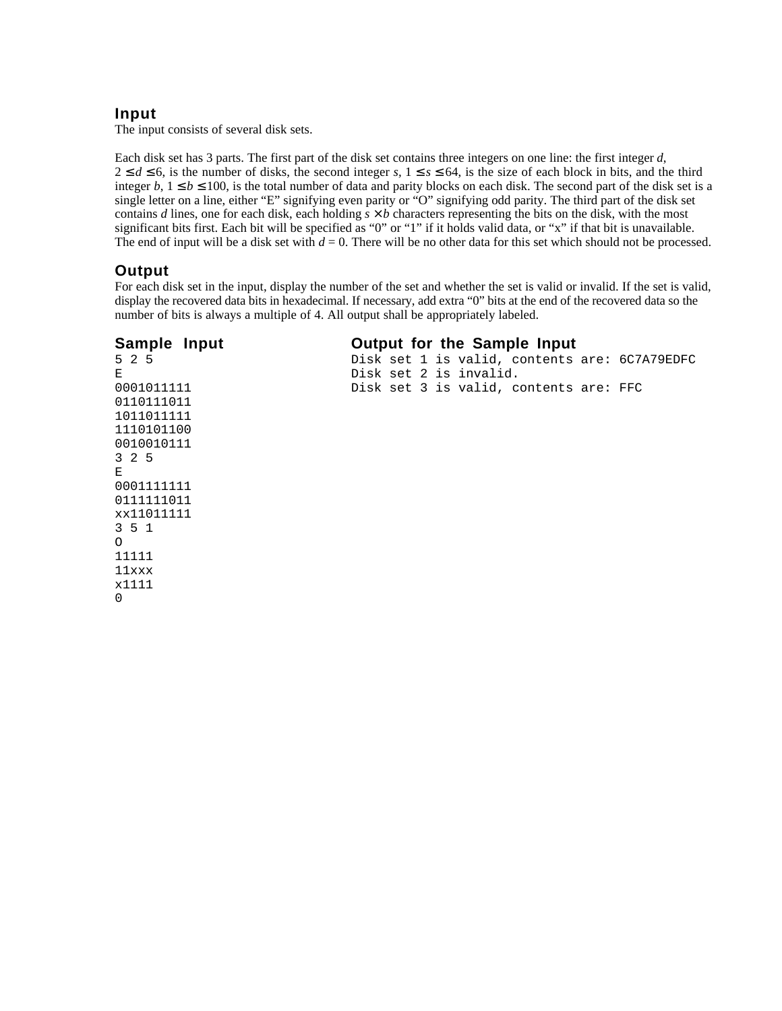### **Input**

The input consists of several disk sets.

Each disk set has 3 parts. The first part of the disk set contains three integers on one line: the first integer *d*,  $2 \le d \le 6$ , is the number of disks, the second integer *s*,  $1 \le s \le 64$ , is the size of each block in bits, and the third integer  $b, 1 \le b \le 100$ , is the total number of data and parity blocks on each disk. The second part of the disk set is a single letter on a line, either "E" signifying even parity or "O" signifying odd parity. The third part of the disk set contains *d* lines, one for each disk, each holding  $s \times b$  characters representing the bits on the disk, with the most significant bits first. Each bit will be specified as "0" or "1" if it holds valid data, or "x" if that bit is unavailable. The end of input will be a disk set with  $d = 0$ . There will be no other data for this set which should not be processed.

# **Output**

For each disk set in the input, display the number of the set and whether the set is valid or invalid. If the set is valid, display the recovered data bits in hexadecimal. If necessary, add extra "0" bits at the end of the recovered data so the number of bits is always a multiple of 4. All output shall be appropriately labeled.

| Sample Input | <b>Output for the Sample Input</b>            |  |  |  |  |
|--------------|-----------------------------------------------|--|--|--|--|
| 525          | Disk set 1 is valid, contents are: 6C7A79EDFC |  |  |  |  |
| Е            | Disk set 2 is invalid.                        |  |  |  |  |
| 0001011111   | Disk set 3 is valid, contents are: FFC        |  |  |  |  |
| 0110111011   |                                               |  |  |  |  |
| 1011011111   |                                               |  |  |  |  |
| 1110101100   |                                               |  |  |  |  |
| 0010010111   |                                               |  |  |  |  |
| 3 2 5        |                                               |  |  |  |  |
| Е            |                                               |  |  |  |  |
| 0001111111   |                                               |  |  |  |  |
| 0111111011   |                                               |  |  |  |  |
| xx11011111   |                                               |  |  |  |  |
| $3\;5\;1$    |                                               |  |  |  |  |
| $\circ$      |                                               |  |  |  |  |
| 11111        |                                               |  |  |  |  |
| 11xxx        |                                               |  |  |  |  |
| x1111        |                                               |  |  |  |  |
| $\Omega$     |                                               |  |  |  |  |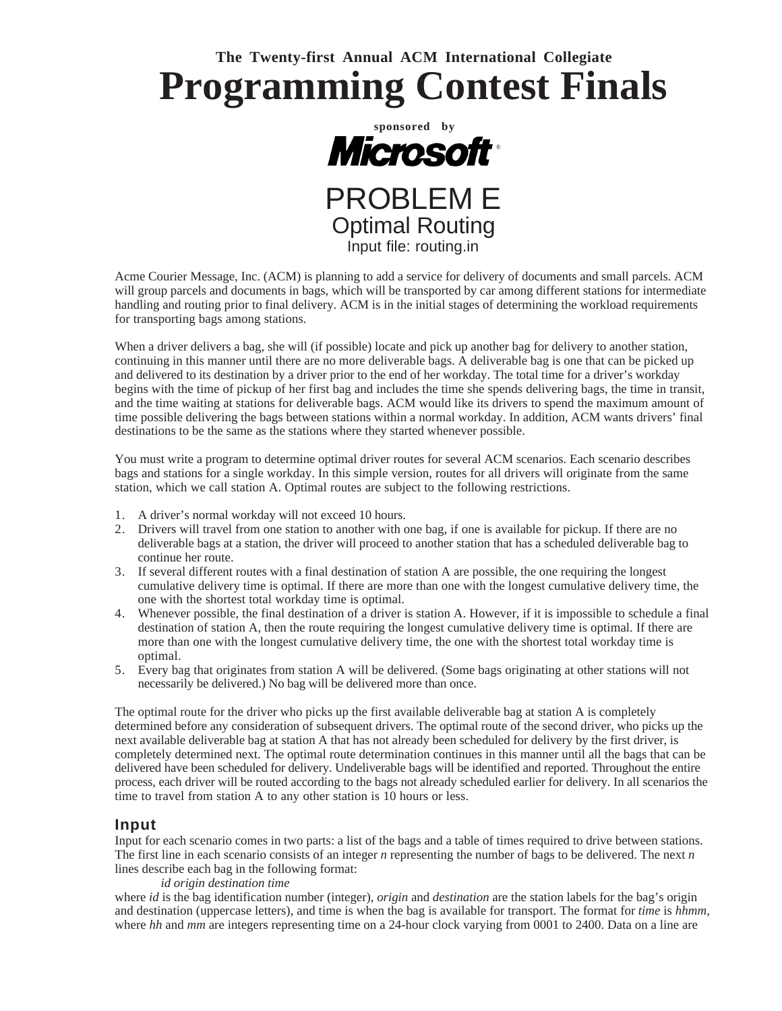

Input file: routing.in

Acme Courier Message, Inc. (ACM) is planning to add a service for delivery of documents and small parcels. ACM will group parcels and documents in bags, which will be transported by car among different stations for intermediate handling and routing prior to final delivery. ACM is in the initial stages of determining the workload requirements for transporting bags among stations.

When a driver delivers a bag, she will (if possible) locate and pick up another bag for delivery to another station, continuing in this manner until there are no more deliverable bags. A deliverable bag is one that can be picked up and delivered to its destination by a driver prior to the end of her workday. The total time for a driver's workday begins with the time of pickup of her first bag and includes the time she spends delivering bags, the time in transit, and the time waiting at stations for deliverable bags. ACM would like its drivers to spend the maximum amount of time possible delivering the bags between stations within a normal workday. In addition, ACM wants drivers' final destinations to be the same as the stations where they started whenever possible.

You must write a program to determine optimal driver routes for several ACM scenarios. Each scenario describes bags and stations for a single workday. In this simple version, routes for all drivers will originate from the same station, which we call station A. Optimal routes are subject to the following restrictions.

- 1. A driver's normal workday will not exceed 10 hours.
- 2. Drivers will travel from one station to another with one bag, if one is available for pickup. If there are no deliverable bags at a station, the driver will proceed to another station that has a scheduled deliverable bag to continue her route.
- 3. If several different routes with a final destination of station A are possible, the one requiring the longest cumulative delivery time is optimal. If there are more than one with the longest cumulative delivery time, the one with the shortest total workday time is optimal.
- 4. Whenever possible, the final destination of a driver is station A. However, if it is impossible to schedule a final destination of station A, then the route requiring the longest cumulative delivery time is optimal. If there are more than one with the longest cumulative delivery time, the one with the shortest total workday time is optimal.
- 5. Every bag that originates from station A will be delivered. (Some bags originating at other stations will not necessarily be delivered.) No bag will be delivered more than once.

The optimal route for the driver who picks up the first available deliverable bag at station A is completely determined before any consideration of subsequent drivers. The optimal route of the second driver, who picks up the next available deliverable bag at station A that has not already been scheduled for delivery by the first driver, is completely determined next. The optimal route determination continues in this manner until all the bags that can be delivered have been scheduled for delivery. Undeliverable bags will be identified and reported. Throughout the entire process, each driver will be routed according to the bags not already scheduled earlier for delivery. In all scenarios the time to travel from station A to any other station is 10 hours or less.

#### **Input**

Input for each scenario comes in two parts: a list of the bags and a table of times required to drive between stations. The first line in each scenario consists of an integer *n* representing the number of bags to be delivered. The next *n* lines describe each bag in the following format:

*id origin destination time*

where *id* is the bag identification number (integer), *origin* and *destination* are the station labels for the bag's origin and destination (uppercase letters), and time is when the bag is available for transport. The format for *time* is *hhmm*, where *hh* and *mm* are integers representing time on a 24-hour clock varying from 0001 to 2400. Data on a line are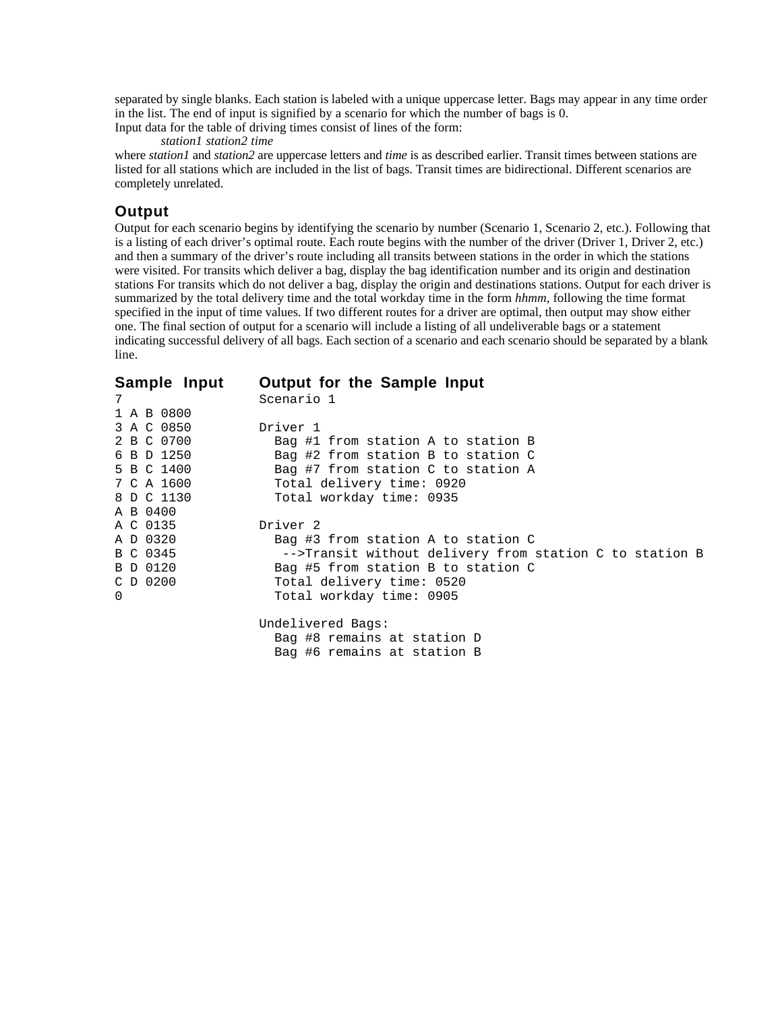separated by single blanks. Each station is labeled with a unique uppercase letter. Bags may appear in any time order in the list. The end of input is signified by a scenario for which the number of bags is 0.

Input data for the table of driving times consist of lines of the form:

*station1 station2 time*

where *station1* and *station2* are uppercase letters and *time* is as described earlier. Transit times between stations are listed for all stations which are included in the list of bags. Transit times are bidirectional. Different scenarios are completely unrelated.

### **Output**

Output for each scenario begins by identifying the scenario by number (Scenario 1, Scenario 2, etc.). Following that is a listing of each driver's optimal route. Each route begins with the number of the driver (Driver 1, Driver 2, etc.) and then a summary of the driver's route including all transits between stations in the order in which the stations were visited. For transits which deliver a bag, display the bag identification number and its origin and destination stations For transits which do not deliver a bag, display the origin and destinations stations. Output for each driver is summarized by the total delivery time and the total workday time in the form *hhmm*, following the time format specified in the input of time values. If two different routes for a driver are optimal, then output may show either one. The final section of output for a scenario will include a listing of all undeliverable bags or a statement indicating successful delivery of all bags. Each section of a scenario and each scenario should be separated by a blank line.

| Sample Input | <b>Output for the Sample Input</b>                      |
|--------------|---------------------------------------------------------|
| 7            | Scenario 1                                              |
| 1 A B 0800   |                                                         |
| 3 A C 0850   | Driver 1                                                |
| 2 B C 0700   | Bag #1 from station A to station B                      |
| 6 B D 1250   | Bag #2 from station B to station C                      |
| 5 B C 1400   | Bag #7 from station C to station A                      |
| 7 C A 1600   | Total delivery time: 0920                               |
| 8 D C 1130   | Total workday time: 0935                                |
| A B 0400     |                                                         |
| A C 0135     | Driver <sub>2</sub>                                     |
| A D 0320     | Bag #3 from station A to station C                      |
| B C 0345     | -->Transit without delivery from station C to station B |
| B D 0120     | Bag #5 from station B to station C                      |
| $C$ D 0200   | Total delivery time: 0520                               |
| $\Omega$     | Total workday time: 0905                                |
|              | Undelivered Bags:                                       |
|              | Bag #8 remains at station D                             |
|              | Bag #6 remains at station B                             |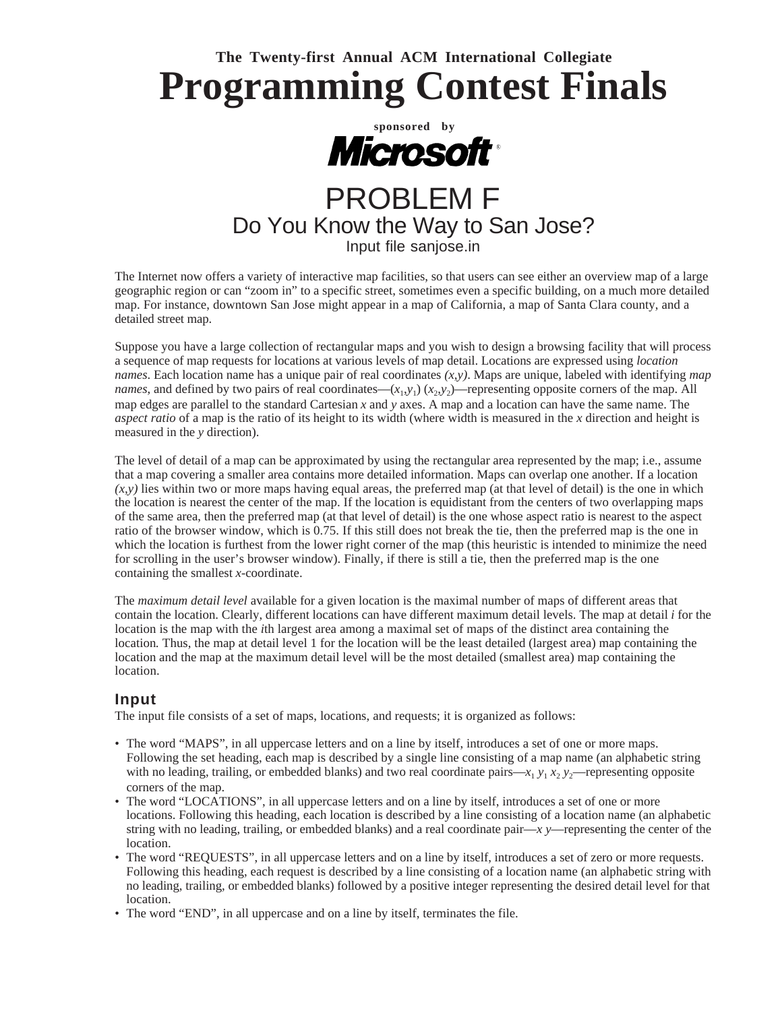

# PROBLEM F Do You Know the Way to San Jose? Input file sanjose.in

The Internet now offers a variety of interactive map facilities, so that users can see either an overview map of a large geographic region or can "zoom in" to a specific street, sometimes even a specific building, on a much more detailed map. For instance, downtown San Jose might appear in a map of California, a map of Santa Clara county, and a detailed street map.

Suppose you have a large collection of rectangular maps and you wish to design a browsing facility that will process a sequence of map requests for locations at various levels of map detail. Locations are expressed using *location names*. Each location name has a unique pair of real coordinates *(x,y)*. Maps are unique, labeled with identifying *map names*, and defined by two pairs of real coordinates— $(x_1, y_1)$   $(x_2, y_2)$ —representing opposite corners of the map. All map edges are parallel to the standard Cartesian *x* and *y* axes. A map and a location can have the same name. The *aspect ratio* of a map is the ratio of its height to its width (where width is measured in the *x* direction and height is measured in the *y* direction).

The level of detail of a map can be approximated by using the rectangular area represented by the map; i.e., assume that a map covering a smaller area contains more detailed information. Maps can overlap one another. If a location *(x,y)* lies within two or more maps having equal areas, the preferred map (at that level of detail) is the one in which the location is nearest the center of the map. If the location is equidistant from the centers of two overlapping maps of the same area, then the preferred map (at that level of detail) is the one whose aspect ratio is nearest to the aspect ratio of the browser window, which is 0.75. If this still does not break the tie, then the preferred map is the one in which the location is furthest from the lower right corner of the map (this heuristic is intended to minimize the need for scrolling in the user's browser window). Finally, if there is still a tie, then the preferred map is the one containing the smallest *x*-coordinate.

The *maximum detail level* available for a given location is the maximal number of maps of different areas that contain the location. Clearly, different locations can have different maximum detail levels. The map at detail *i* for the location is the map with the *i*th largest area among a maximal set of maps of the distinct area containing the location*.* Thus, the map at detail level 1 for the location will be the least detailed (largest area) map containing the location and the map at the maximum detail level will be the most detailed (smallest area) map containing the location.

#### **Input**

The input file consists of a set of maps, locations, and requests; it is organized as follows:

- The word "MAPS", in all uppercase letters and on a line by itself, introduces a set of one or more maps. Following the set heading, each map is described by a single line consisting of a map name (an alphabetic string with no leading, trailing, or embedded blanks) and two real coordinate pairs— $x_1 y_1 x_2 y_2$ —representing opposite corners of the map.
- The word "LOCATIONS", in all uppercase letters and on a line by itself, introduces a set of one or more locations. Following this heading, each location is described by a line consisting of a location name (an alphabetic string with no leading, trailing, or embedded blanks) and a real coordinate pair— $x$  *y*—representing the center of the location.
- The word "REQUESTS", in all uppercase letters and on a line by itself, introduces a set of zero or more requests. Following this heading, each request is described by a line consisting of a location name (an alphabetic string with no leading, trailing, or embedded blanks) followed by a positive integer representing the desired detail level for that location.
- The word "END", in all uppercase and on a line by itself, terminates the file.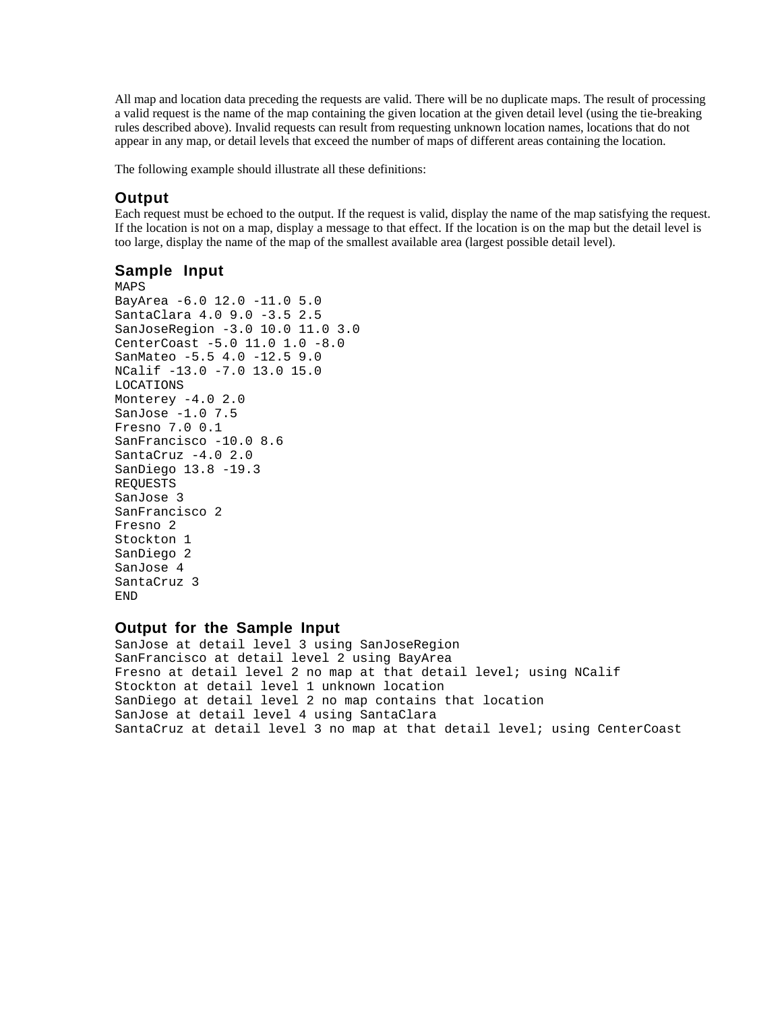All map and location data preceding the requests are valid. There will be no duplicate maps. The result of processing a valid request is the name of the map containing the given location at the given detail level (using the tie-breaking rules described above). Invalid requests can result from requesting unknown location names, locations that do not appear in any map, or detail levels that exceed the number of maps of different areas containing the location.

The following example should illustrate all these definitions:

#### **Output**

Each request must be echoed to the output. If the request is valid, display the name of the map satisfying the request. If the location is not on a map, display a message to that effect. If the location is on the map but the detail level is too large, display the name of the map of the smallest available area (largest possible detail level).

#### **Sample Input**

```
MAPS
BayArea -6.0 12.0 -11.0 5.0
SantaClara 4.0 9.0 -3.5 2.5
SanJoseRegion -3.0 10.0 11.0 3.0
CenterCoast -5.0 11.0 1.0 -8.0
SanMateo -5.5 4.0 -12.5 9.0
NCalif -13.0 -7.0 13.0 15.0
LOCATIONS
Monterey -4.0 2.0
SanJose -1.0 7.5
Fresno 7.0 0.1
SanFrancisco -10.0 8.6
SantaCruz -4.0 2.0
SanDiego 13.8 -19.3
REQUESTS
SanJose 3
SanFrancisco 2
Fresno 2
Stockton 1
SanDiego 2
SanJose 4
SantaCruz 3
END
```
#### **Output for the Sample Input**

SanJose at detail level 3 using SanJoseRegion SanFrancisco at detail level 2 using BayArea Fresno at detail level 2 no map at that detail level; using NCalif Stockton at detail level 1 unknown location SanDiego at detail level 2 no map contains that location SanJose at detail level 4 using SantaClara SantaCruz at detail level 3 no map at that detail level; using CenterCoast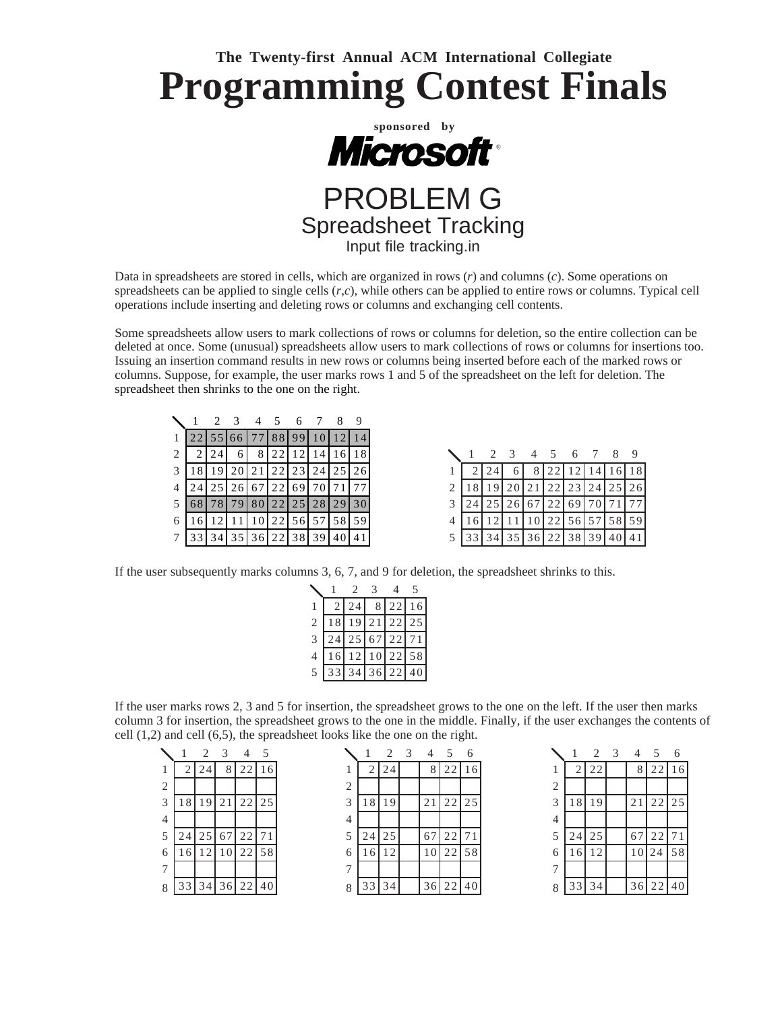



Spreadsheet Tracking

Input file tracking.in

Data in spreadsheets are stored in cells, which are organized in rows (*r*) and columns (*c*). Some operations on spreadsheets can be applied to single cells (*r*,*c*), while others can be applied to entire rows or columns. Typical cell operations include inserting and deleting rows or columns and exchanging cell contents.

Some spreadsheets allow users to mark collections of rows or columns for deletion, so the entire collection can be deleted at once. Some (unusual) spreadsheets allow users to mark collections of rows or columns for insertions too. Issuing an insertion command results in new rows or columns being inserted before each of the marked rows or columns. Suppose, for example, the user marks rows 1 and 5 of the spreadsheet on the left for deletion. The spreadsheet then shrinks to the one on the right.

| 1 2 3 4 5 6 7 8 9 |  |  |  |                                                                                                                                                                                         |
|-------------------|--|--|--|-----------------------------------------------------------------------------------------------------------------------------------------------------------------------------------------|
|                   |  |  |  | $1 \mid 22 \mid 55 \mid 66 \mid 77 \mid 88 \mid 99 \mid 10 \mid 12 \mid 14$                                                                                                             |
|                   |  |  |  | $2 \mid 2 \mid 24 \mid 6 \mid 8 \mid 22 \mid 12 \mid 14 \mid 16 \mid 18$                                                                                                                |
|                   |  |  |  | 3   18   19   20   21   22   23   24   25   26                                                                                                                                          |
|                   |  |  |  | $4\begin{bmatrix} 24 \end{bmatrix}$ $25\begin{bmatrix} 26 \end{bmatrix}$ $67\begin{bmatrix} 22 \end{bmatrix}$ $69\begin{bmatrix} 70 \end{bmatrix}$ $71\begin{bmatrix} 77 \end{bmatrix}$ |
|                   |  |  |  | 5 68 78 79 80 22 25 28 29 30                                                                                                                                                            |
|                   |  |  |  | 6 16 12 11 10 22 56 57 58 59                                                                                                                                                            |
|                   |  |  |  | 7 33 34 35 36 22 38 39 40 41                                                                                                                                                            |

|                                                                                                                                                                                                                                                                                                                             |                            |  | 2 3 4 5 6 7 8 9 |  |  |
|-----------------------------------------------------------------------------------------------------------------------------------------------------------------------------------------------------------------------------------------------------------------------------------------------------------------------------|----------------------------|--|-----------------|--|--|
|                                                                                                                                                                                                                                                                                                                             | $2 24 $ 6 8 22 12 14 16 18 |  |                 |  |  |
| 2 18 19 20 21 22 23 24 25 26                                                                                                                                                                                                                                                                                                |                            |  |                 |  |  |
| 3 24 25 26 67 22 69 70 71 77                                                                                                                                                                                                                                                                                                |                            |  |                 |  |  |
| $4\begin{bmatrix} 16 \end{bmatrix}$ $\begin{bmatrix} 12 \end{bmatrix}$ $\begin{bmatrix} 11 \end{bmatrix}$ $\begin{bmatrix} 10 \end{bmatrix}$ $\begin{bmatrix} 22 \end{bmatrix}$ $\begin{bmatrix} 56 \end{bmatrix}$ $\begin{bmatrix} 57 \end{bmatrix}$ $\begin{bmatrix} 58 \end{bmatrix}$ $\begin{bmatrix} 59 \end{bmatrix}$ |                            |  |                 |  |  |
| 5 33 34 35 36 22 38 39 40 41                                                                                                                                                                                                                                                                                                |                            |  |                 |  |  |

If the user subsequently marks columns 3, 6, 7, and 9 for deletion, the spreadsheet shrinks to this.

|   |                  | $2^{1}$        | 3 | -5 |
|---|------------------|----------------|---|----|
|   |                  | 2 24 8 22 16   |   |    |
| 2 |                  | 18 19 21 22 25 |   |    |
| 3 | $24$ 25 67 22 71 |                |   |    |
|   |                  | 16 12 10 22 58 |   |    |
| 5 | 33 34 36 22 40   |                |   |    |

If the user marks rows 2, 3 and 5 for insertion, the spreadsheet grows to the one on the left. If the user then marks column 3 for insertion, the spreadsheet grows to the one in the middle. Finally, if the user exchanges the contents of cell (1,2) and cell (6,5), the spreadsheet looks like the one on the right.

|                | 2              | 3 | 4       | 5 |
|----------------|----------------|---|---------|---|
| 1              | 2 24           |   | 8 22 16 |   |
| $\overline{2}$ |                |   |         |   |
| 3              | 18 19 21 22 25 |   |         |   |
| $\overline{4}$ |                |   |         |   |
| 5              | 24 25 67 22 71 |   |         |   |
| 6              | 16 12 10 22 58 |   |         |   |
| $\overline{7}$ |                |   |         |   |
| 8              | 33 34 36 22 40 |   |         |   |

|                |    | 2    | 3 |    | 5            | 6     |
|----------------|----|------|---|----|--------------|-------|
| 1              |    | 2 24 |   | 8  |              | 22 16 |
| $\overline{2}$ |    |      |   |    |              |       |
| $\overline{3}$ | 18 | 19   |   | 21 | $22 \mid 25$ |       |
| $\overline{4}$ |    |      |   |    |              |       |
| 5              | 24 | 25   |   | 67 | 22           | 71    |
| 6              | 16 | 12   |   | 10 | $22 \mid 58$ |       |
| 7              |    |      |   |    |              |       |
| 8              | 33 | 34   |   |    | 36 22        | 40    |

|   |                 | 2                  | 3 | 4 | .5       | 6          |
|---|-----------------|--------------------|---|---|----------|------------|
| 1 |                 | 2 22               |   |   |          | 8 22 16    |
| 2 |                 |                    |   |   |          |            |
| 3 | 18              | 19                 |   |   |          | $21$ 22 25 |
| 4 |                 |                    |   |   |          |            |
| 5 |                 | $24 \overline{25}$ |   |   | 67 22 71 |            |
| б | $\overline{16}$ | 12                 |   |   |          | 10 24 58   |
| 7 |                 |                    |   |   |          |            |
| 8 |                 | 33 34              |   |   |          | $36$ 22 40 |
|   |                 |                    |   |   |          |            |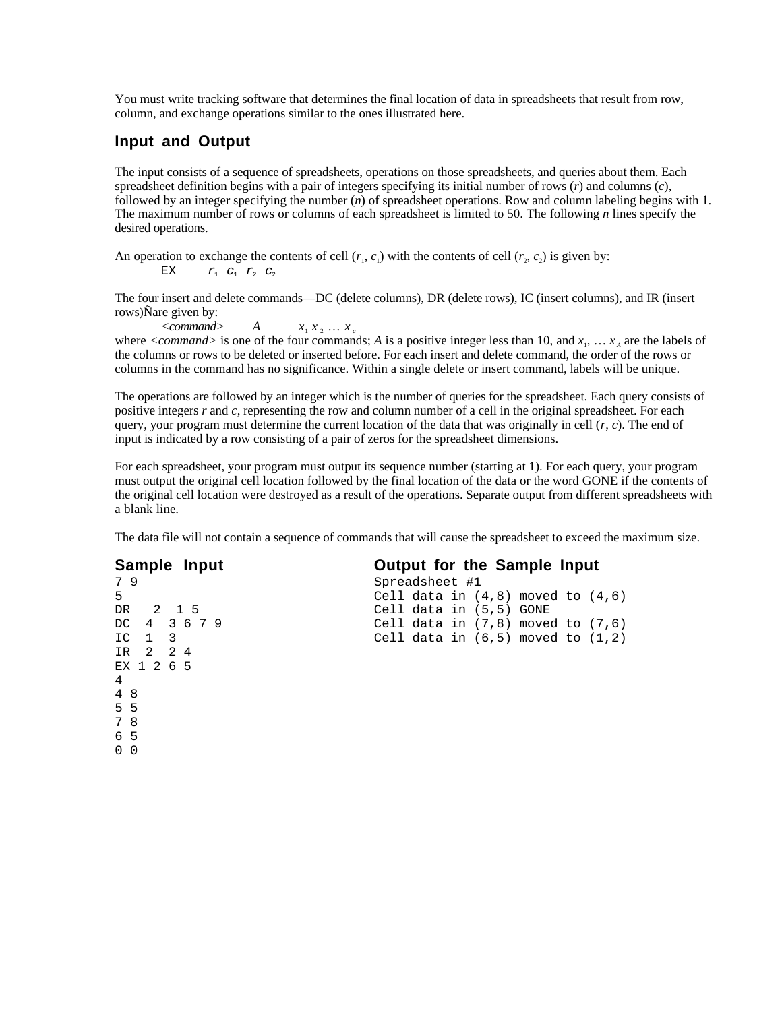You must write tracking software that determines the final location of data in spreadsheets that result from row, column, and exchange operations similar to the ones illustrated here.

# **Input and Output**

The input consists of a sequence of spreadsheets, operations on those spreadsheets, and queries about them. Each spreadsheet definition begins with a pair of integers specifying its initial number of rows (*r*) and columns (*c*), followed by an integer specifying the number (*n*) of spreadsheet operations. Row and column labeling begins with 1. The maximum number of rows or columns of each spreadsheet is limited to 50. The following *n* lines specify the desired operations.

An operation to exchange the contents of cell  $(r_1, c_1)$  with the contents of cell  $(r_2, c_2)$  is given by: EX  $r_1$   $c_1$   $r_2$   $c_2$ 

The four insert and delete commands—DC (delete columns), DR (delete rows), IC (insert columns), and IR (insert rows)Ñare given by:

 $\leq$ *command> A*  $x_1 x_2 ... x_a$ 

where  $\langle command \rangle$  is one of the four commands; *A* is a positive integer less than 10, and  $x_1, \ldots, x_A$  are the labels of the columns or rows to be deleted or inserted before. For each insert and delete command, the order of the rows or columns in the command has no significance. Within a single delete or insert command, labels will be unique.

The operations are followed by an integer which is the number of queries for the spreadsheet. Each query consists of positive integers *r* and *c*, representing the row and column number of a cell in the original spreadsheet. For each query, your program must determine the current location of the data that was originally in cell (*r*, *c*). The end of input is indicated by a row consisting of a pair of zeros for the spreadsheet dimensions.

For each spreadsheet, your program must output its sequence number (starting at 1). For each query, your program must output the original cell location followed by the final location of the data or the word GONE if the contents of the original cell location were destroyed as a result of the operations. Separate output from different spreadsheets with a blank line.

The data file will not contain a sequence of commands that will cause the spreadsheet to exceed the maximum size.

| Sample Input      | <b>Output for the Sample Input</b>    |
|-------------------|---------------------------------------|
| 7 9               | Spreadsheet #1                        |
| 5                 | Cell data in $(4,8)$ moved to $(4,6)$ |
| DR<br>2 1 5       | Cell data in (5,5) GONE               |
| DC 4 3 6 7 9      | Cell data in $(7,8)$ moved to $(7,6)$ |
| IC <sub>1</sub> 3 | Cell data in $(6,5)$ moved to $(1,2)$ |
| IR 2 2 4          |                                       |
| EX 1 2 6 5        |                                       |
| 4                 |                                       |
| 4 8               |                                       |
| 5 <sub>5</sub>    |                                       |
| 7 8               |                                       |
| 6 5               |                                       |
| 0 <sub>0</sub>    |                                       |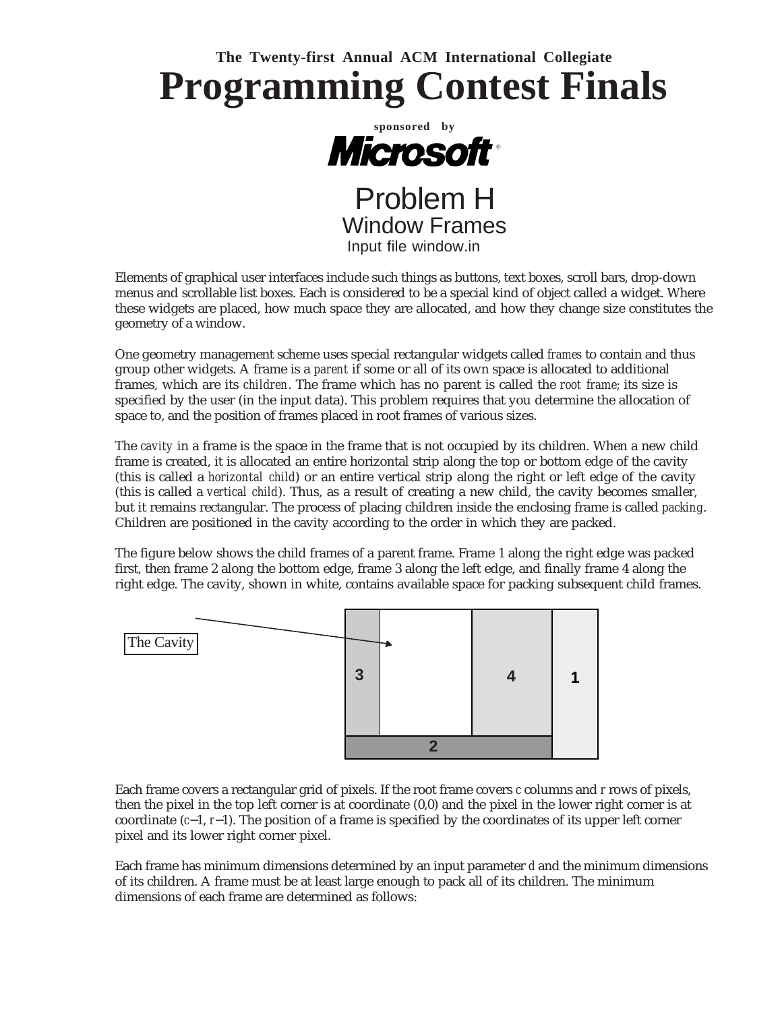

Problem H Window Frames Input file window.in

Elements of graphical user interfaces include such things as buttons, text boxes, scroll bars, drop-down menus and scrollable list boxes. Each is considered to be a special kind of object called a widget. Where these widgets are placed, how much space they are allocated, and how they change size constitutes the geometry of a window.

One geometry management scheme uses special rectangular widgets called *frames* to contain and thus group other widgets. A frame is a *parent* if some or all of its own space is allocated to additional frames, which are its *children*. The frame which has no parent is called the *root frame*; its size is specified by the user (in the input data). This problem requires that you determine the allocation of space to, and the position of frames placed in root frames of various sizes.

The *cavity* in a frame is the space in the frame that is not occupied by its children. When a new child frame is created, it is allocated an entire horizontal strip along the top or bottom edge of the cavity (this is called a *horizontal child*) or an entire vertical strip along the right or left edge of the cavity (this is called a *vertical child*). Thus, as a result of creating a new child, the cavity becomes smaller, but it remains rectangular. The process of placing children inside the enclosing frame is called *packing*. Children are positioned in the cavity according to the order in which they are packed.

The figure below shows the child frames of a parent frame. Frame 1 along the right edge was packed first, then frame 2 along the bottom edge, frame 3 along the left edge, and finally frame 4 along the right edge. The cavity, shown in white, contains available space for packing subsequent child frames.



Each frame covers a rectangular grid of pixels. If the root frame covers *c* columns and *r* rows of pixels, then the pixel in the top left corner is at coordinate (0,0) and the pixel in the lower right corner is at coordinate (*c*−1, *r*−1). The position of a frame is specified by the coordinates of its upper left corner pixel and its lower right corner pixel.

Each frame has minimum dimensions determined by an input parameter *d* and the minimum dimensions of its children. A frame must be at least large enough to pack all of its children. The minimum dimensions of each frame are determined as follows: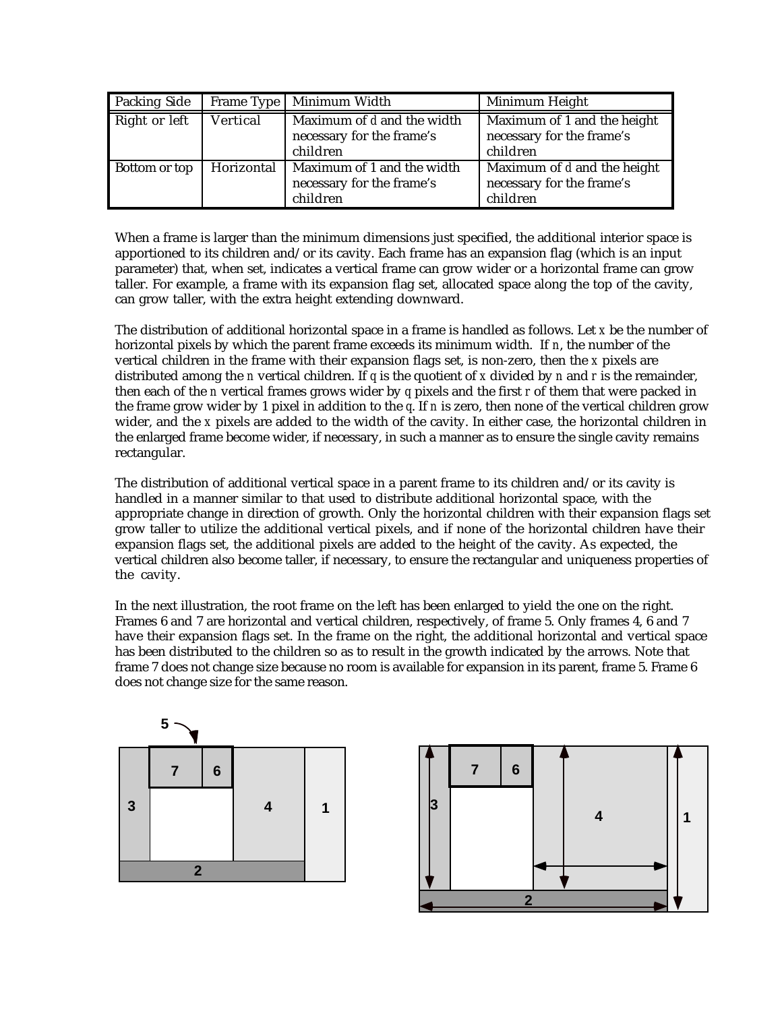| Packing Side  |            | Frame Type   Minimum Width                                          | Minimum Height                                                       |
|---------------|------------|---------------------------------------------------------------------|----------------------------------------------------------------------|
| Right or left | Vertical   | Maximum of d and the width<br>necessary for the frame's<br>children | Maximum of 1 and the height<br>necessary for the frame's<br>children |
| Bottom or top | Horizontal | Maximum of 1 and the width<br>necessary for the frame's<br>children | Maximum of d and the height<br>necessary for the frame's<br>children |

When a frame is larger than the minimum dimensions just specified, the additional interior space is apportioned to its children and/or its cavity. Each frame has an expansion flag (which is an input parameter) that, when set, indicates a vertical frame can grow wider or a horizontal frame can grow taller. For example, a frame with its expansion flag set, allocated space along the top of the cavity, can grow taller, with the extra height extending downward.

The distribution of additional horizontal space in a frame is handled as follows. Let *x* be the number of horizontal pixels by which the parent frame exceeds its minimum width. If *n*, the number of the vertical children in the frame with their expansion flags set, is non-zero, then the *x* pixels are distributed among the *n* vertical children. If *q* is the quotient of *x* divided by *n* and *r* is the remainder, then each of the *n* vertical frames grows wider by *q* pixels and the first *r* of them that were packed in the frame grow wider by 1 pixel in addition to the *q*. If *n* is zero, then none of the vertical children grow wider, and the *x* pixels are added to the width of the cavity. In either case, the horizontal children in the enlarged frame become wider, if necessary, in such a manner as to ensure the single cavity remains rectangular.

The distribution of additional vertical space in a parent frame to its children and/or its cavity is handled in a manner similar to that used to distribute additional horizontal space, with the appropriate change in direction of growth. Only the horizontal children with their expansion flags set grow taller to utilize the additional vertical pixels, and if none of the horizontal children have their expansion flags set, the additional pixels are added to the height of the cavity. As expected, the vertical children also become taller, if necessary, to ensure the rectangular and uniqueness properties of the cavity.

In the next illustration, the root frame on the left has been enlarged to yield the one on the right. Frames 6 and 7 are horizontal and vertical children, respectively, of frame 5. Only frames 4, 6 and 7 have their expansion flags set. In the frame on the right, the additional horizontal and vertical space has been distributed to the children so as to result in the growth indicated by the arrows. Note that frame 7 does not change size because no room is available for expansion in its parent, frame 5. Frame 6 does not change size for the same reason.